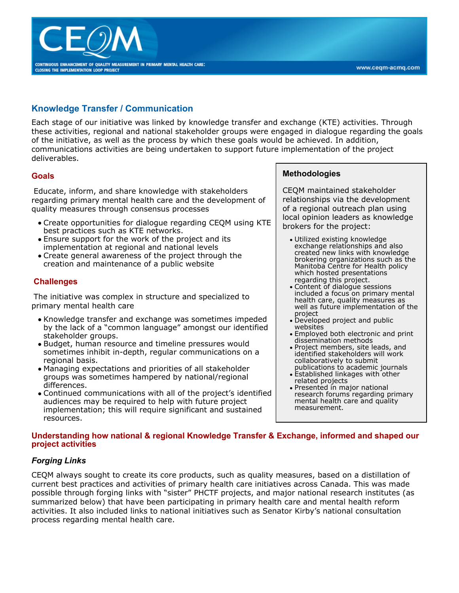

# **Knowledge Transfer / Communication**

Each stage of our initiative was linked by knowledge transfer and exchange (KTE) activities. Through these activities, regional and national stakeholder groups were engaged in dialogue regarding the goals of the initiative, as well as the process by which these goals would be achieved. In addition, communications activities are being undertaken to support future implementation of the project deliverables.

## **Goals**

Educate, inform, and share knowledge with stakeholders regarding primary mental health care and the development of quality measures through consensus processes

- Create opportunities for dialogue regarding CEQM using KTE best practices such as KTE networks.
- Ensure support for the work of the project and its implementation at regional and national levels
- Create general awareness of the project through the creation and maintenance of a public website

# **Challenges**

The initiative was complex in structure and specialized to primary mental health care

- Knowledge transfer and exchange was sometimes impeded by the lack of a "common language" amongst our identified stakeholder groups.
- Budget, human resource and timeline pressures would sometimes inhibit in-depth, regular communications on a regional basis.
- Managing expectations and priorities of all stakeholder groups was sometimes hampered by national/regional differences.
- Continued communications with all of the project's identified audiences may be required to help with future project implementation; this will require significant and sustained resources.

## **Methodologies**

CEQM maintained stakeholder relationships via the development of a regional outreach plan using local opinion leaders as knowledge brokers for the project:

- Utilized existing knowledge exchange relationships and also created new links with knowledge brokering organizations such as the Manitoba Centre for Health policy which hosted presentations regarding this project.
- Content of dialogue sessions included a focus on primary mental health care, quality measures as well as future implementation of the project
- Developed project and public websites
- Employed both electronic and print dissemination methods
- Project members, site leads, and identified stakeholders will work collaboratively to submit publications to academic journals
- Established linkages with other related projects
- Presented in major national research forums regarding primary mental health care and quality measurement.

## **Understanding how national & regional Knowledge Transfer & Exchange, informed and shaped our project activities**

# *Forging Links*

CEQM always sought to create its core products, such as quality measures, based on a distillation of current best practices and activities of primary health care initiatives across Canada. This was made possible through forging links with "sister" PHCTF projects, and major national research institutes (as summarized below) that have been participating in primary health care and mental health reform activities. It also included links to national initiatives such as Senator Kirby's national consultation process regarding mental health care.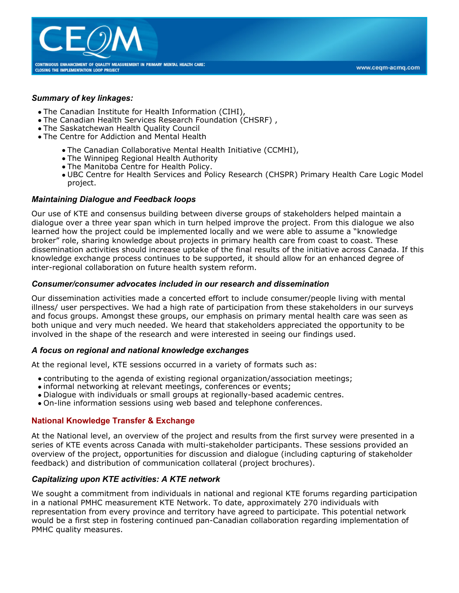

#### *Summary of key linkages:*

- The Canadian Institute for Health Information (CIHI),
- The Canadian Health Services Research Foundation (CHSRF) ,
- The Saskatchewan Health Quality Council
- The Centre for Addiction and Mental Health
	- The Canadian Collaborative Mental Health Initiative (CCMHI),
	- The Winnipeg Regional Health Authority
	- The Manitoba Centre for Health Policy.
	- UBC Centre for Health Services and Policy Research (CHSPR) Primary Health Care Logic Model project.

www.cegm-acmg.com

#### *Maintaining Dialogue and Feedback loops*

Our use of KTE and consensus building between diverse groups of stakeholders helped maintain a dialogue over a three year span which in turn helped improve the project. From this dialogue we also learned how the project could be implemented locally and we were able to assume a "knowledge broker" role, sharing knowledge about projects in primary health care from coast to coast. These dissemination activities should increase uptake of the final results of the initiative across Canada. If this knowledge exchange process continues to be supported, it should allow for an enhanced degree of inter-regional collaboration on future health system reform.

#### *Consumer/consumer advocates included in our research and dissemination*

Our dissemination activities made a concerted effort to include consumer/people living with mental illness/ user perspectives. We had a high rate of participation from these stakeholders in our surveys and focus groups. Amongst these groups, our emphasis on primary mental health care was seen as both unique and very much needed. We heard that stakeholders appreciated the opportunity to be involved in the shape of the research and were interested in seeing our findings used.

#### *A focus on regional and national knowledge exchanges*

At the regional level, KTE sessions occurred in a variety of formats such as:

- contributing to the agenda of existing regional organization/association meetings;
- informal networking at relevant meetings, conferences or events;
- Dialogue with individuals or small groups at regionally-based academic centres.
- On-line information sessions using web based and telephone conferences.

#### **National Knowledge Transfer & Exchange**

At the National level, an overview of the project and results from the first survey were presented in a series of KTE events across Canada with multi-stakeholder participants. These sessions provided an overview of the project, opportunities for discussion and dialogue (including capturing of stakeholder feedback) and distribution of communication collateral (project brochures).

#### *Capitalizing upon KTE activities: A KTE network*

We sought a commitment from individuals in national and regional KTE forums regarding participation in a national PMHC measurement KTE Network. To date, approximately 270 individuals with representation from every province and territory have agreed to participate. This potential network would be a first step in fostering continued pan-Canadian collaboration regarding implementation of PMHC quality measures.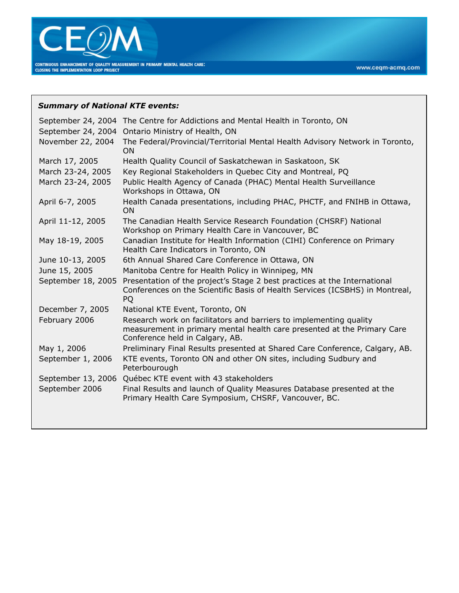

## *Summary of National KTE events:*

|                    | September 24, 2004 The Centre for Addictions and Mental Health in Toronto, ON                                                                                                    |
|--------------------|----------------------------------------------------------------------------------------------------------------------------------------------------------------------------------|
| September 24, 2004 | Ontario Ministry of Health, ON                                                                                                                                                   |
| November 22, 2004  | The Federal/Provincial/Territorial Mental Health Advisory Network in Toronto,<br><b>ON</b>                                                                                       |
| March 17, 2005     | Health Quality Council of Saskatchewan in Saskatoon, SK                                                                                                                          |
| March 23-24, 2005  | Key Regional Stakeholders in Quebec City and Montreal, PQ                                                                                                                        |
| March 23-24, 2005  | Public Health Agency of Canada (PHAC) Mental Health Surveillance<br>Workshops in Ottawa, ON                                                                                      |
| April 6-7, 2005    | Health Canada presentations, including PHAC, PHCTF, and FNIHB in Ottawa,<br><b>ON</b>                                                                                            |
| April 11-12, 2005  | The Canadian Health Service Research Foundation (CHSRF) National<br>Workshop on Primary Health Care in Vancouver, BC                                                             |
| May 18-19, 2005    | Canadian Institute for Health Information (CIHI) Conference on Primary<br>Health Care Indicators in Toronto, ON                                                                  |
| June 10-13, 2005   | 6th Annual Shared Care Conference in Ottawa, ON                                                                                                                                  |
| June 15, 2005      | Manitoba Centre for Health Policy in Winnipeg, MN                                                                                                                                |
| September 18, 2005 | Presentation of the project's Stage 2 best practices at the International<br>Conferences on the Scientific Basis of Health Services (ICSBHS) in Montreal,<br>PQ                  |
| December 7, 2005   | National KTE Event, Toronto, ON                                                                                                                                                  |
| February 2006      | Research work on facilitators and barriers to implementing quality<br>measurement in primary mental health care presented at the Primary Care<br>Conference held in Calgary, AB. |
| May 1, 2006        | Preliminary Final Results presented at Shared Care Conference, Calgary, AB.                                                                                                      |
| September 1, 2006  | KTE events, Toronto ON and other ON sites, including Sudbury and<br>Peterbourough                                                                                                |
| September 13, 2006 | Québec KTE event with 43 stakeholders                                                                                                                                            |
| September 2006     | Final Results and launch of Quality Measures Database presented at the<br>Primary Health Care Symposium, CHSRF, Vancouver, BC.                                                   |
|                    |                                                                                                                                                                                  |